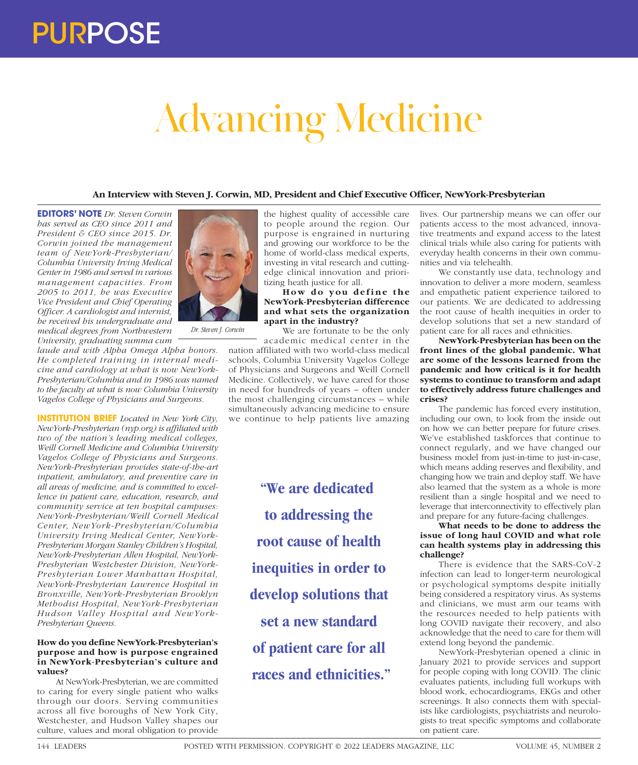# Advancing Medicine

# **An Interview with Steven J. Corwin, MD, President and Chief Executive Officer, NewYork-Presbyterian**

**EDITORS' NOTE** *Dr. Steven Corwin has served as CEO since 2011 and President & CEO since 2015. Dr. Corwin joined the management team of NewYork-Presbyterian/ Columbia University Irving Medical Center in 1986 and served in various management capacities. From 2005 to 2011, he was Executive Vice President and Chief Operating Officer. A cardiologist and internist, he received his undergraduate and medical degrees from Northwestern University, graduating summa cum* 

*laude and with Alpha Omega Alpha honors. He completed training in internal medicine and cardiology at what is now NewYork-Presbyterian/Columbia and in 1986 was named to the faculty at what is now Columbia University Vagelos College of Physicians and Surgeons.*

*Dr. Steven J. Corwin*

**INSTITUTION BRIEF** *Located in New York City, NewYork-Presbyterian (nyp.org) is affiliated with two of the nation's leading medical colleges, Weill Cornell Medicine and Columbia University Vagelos College of Physicians and Surgeons. NewYork-Presbyterian provides state-of-the-art inpatient, ambulatory, and preventive care in all areas of medicine, and is committed to excellence in patient care, education, research, and community service at ten hospital campuses: NewYork-Presbyterian/Weill Cornell Medical Center, NewYork-Presbyterian/Columbia University Irving Medical Center, NewYork-Presbyterian Morgan Stanley Children's Hospital, NewYork-Presbyterian Allen Hospital, NewYork-Presbyterian Westchester Division, NewYork-Presbyterian Lower Manhattan Hospital, NewYork-Presbyterian Lawrence Hospital in Bronxville, NewYork-Presbyterian Brooklyn Methodist Hospital, NewYork-Presbyterian Hudson Valley Hospital and NewYork-Presbyterian Queens.*

### **How do you define NewYork-Presbyterian's purpose and how is purpose engrained in NewYork-Presbyterian's culture and values?**

At NewYork-Presbyterian, we are committed to caring for every single patient who walks through our doors. Serving communities across all five boroughs of New York City, Westchester, and Hudson Valley shapes our culture, values and moral obligation to provide



## How do you define the **NewYork-Presbyterian difference and what sets the organization apart in the industry?**

We are fortunate to be the only academic medical center in the

nation affiliated with two world-class medical schools, Columbia University Vagelos College of Physicians and Surgeons and Weill Cornell Medicine. Collectively, we have cared for those in need for hundreds of years – often under the most challenging circumstances – while simultaneously advancing medicine to ensure we continue to help patients live amazing

> **"We are dedicated to addressing the root cause of health inequities in order to develop solutions that set a new standard of patient care for all races and ethnicities."**

lives. Our partnership means we can offer our patients access to the most advanced, innovative treatments and expand access to the latest clinical trials while also caring for patients with everyday health concerns in their own communities and via telehealth.

We constantly use data, technology and innovation to deliver a more modern, seamless and empathetic patient experience tailored to our patients. We are dedicated to addressing the root cause of health inequities in order to develop solutions that set a new standard of patient care for all races and ethnicities.

**NewYork-Presbyterian has been on the front lines of the global pandemic. What are some of the lessons learned from the pandemic and how critical is it for health systems to continue to transform and adapt to effectively address future challenges and crises?**

The pandemic has forced every institution, including our own, to look from the inside out on how we can better prepare for future crises. We've established taskforces that continue to connect regularly, and we have changed our business model from just-in-time to just-in-case, which means adding reserves and flexibility, and changing how we train and deploy staff. We have also learned that the system as a whole is more resilient than a single hospital and we need to leverage that interconnectivity to effectively plan and prepare for any future-facing challenges.

## **What needs to be done to address the issue of long haul COVID and what role can health systems play in addressing this challenge?**

There is evidence that the SARS-CoV-2 infection can lead to longer-term neurological or psychological symptoms despite initially being considered a respiratory virus. As systems and clinicians, we must arm our teams with the resources needed to help patients with long COVID navigate their recovery, and also acknowledge that the need to care for them will extend long beyond the pandemic.

NewYork-Presbyterian opened a clinic in January 2021 to provide services and support for people coping with long COVID. The clinic evaluates patients, including full workups with blood work, echocardiograms, EKGs and other screenings. It also connects them with specialists like cardiologists, psychiatrists and neurologists to treat specific symptoms and collaborate on patient care.